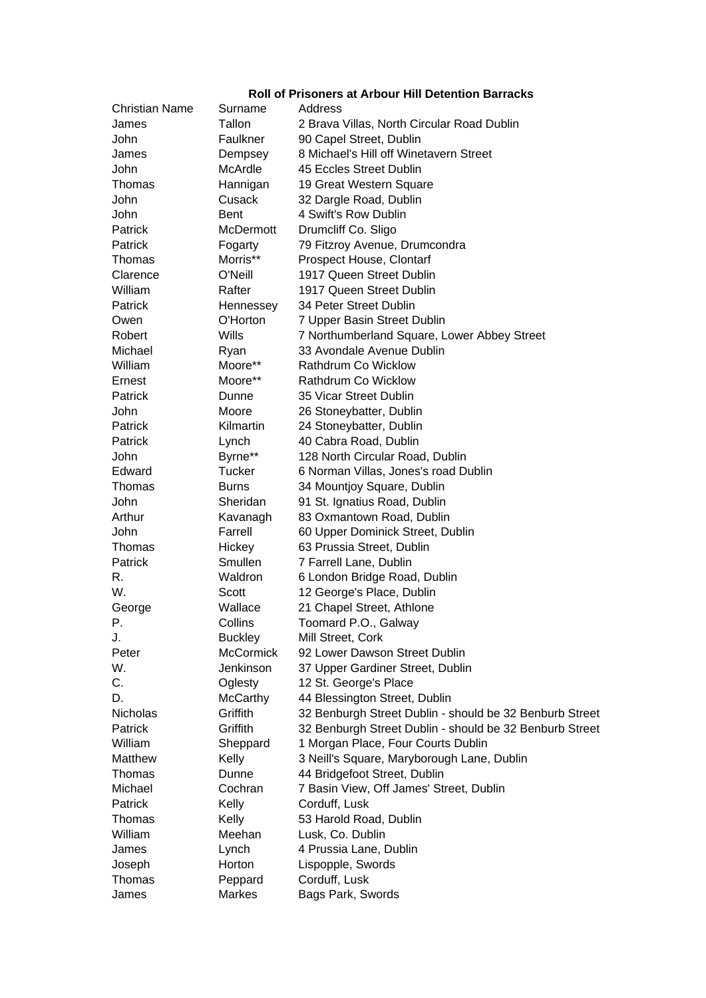## **Roll of Prisoners at Arbour Hill Detention Barracks**

| Christian Name | Surname          | Address                                                 |
|----------------|------------------|---------------------------------------------------------|
| James          | Tallon           | 2 Brava Villas, North Circular Road Dublin              |
| John           | Faulkner         | 90 Capel Street, Dublin                                 |
| James          | Dempsey          | 8 Michael's Hill off Winetavern Street                  |
| John           | McArdle          | 45 Eccles Street Dublin                                 |
| Thomas         | Hannigan         | 19 Great Western Square                                 |
| John           | Cusack           | 32 Dargle Road, Dublin                                  |
| John           | <b>Bent</b>      | 4 Swift's Row Dublin                                    |
| Patrick        | <b>McDermott</b> | Drumcliff Co. Sligo                                     |
| Patrick        | Fogarty          | 79 Fitzroy Avenue, Drumcondra                           |
| Thomas         | Morris**         | Prospect House, Clontarf                                |
| Clarence       | O'Neill          | 1917 Queen Street Dublin                                |
| William        | Rafter           | 1917 Queen Street Dublin                                |
| Patrick        | Hennessey        | 34 Peter Street Dublin                                  |
| Owen           | O'Horton         | 7 Upper Basin Street Dublin                             |
| Robert         | Wills            | 7 Northumberland Square, Lower Abbey Street             |
| Michael        | Ryan             | 33 Avondale Avenue Dublin                               |
| William        | Moore**          | Rathdrum Co Wicklow                                     |
| Ernest         | Moore**          | Rathdrum Co Wicklow                                     |
| Patrick        | Dunne            | 35 Vicar Street Dublin                                  |
| John           | Moore            | 26 Stoneybatter, Dublin                                 |
| Patrick        | Kilmartin        | 24 Stoneybatter, Dublin                                 |
| Patrick        | Lynch            | 40 Cabra Road, Dublin                                   |
| John           | Byrne**          | 128 North Circular Road, Dublin                         |
| Edward         | <b>Tucker</b>    | 6 Norman Villas, Jones's road Dublin                    |
| Thomas         | <b>Burns</b>     | 34 Mountjoy Square, Dublin                              |
| John           | Sheridan         | 91 St. Ignatius Road, Dublin                            |
| Arthur         | Kavanagh         | 83 Oxmantown Road, Dublin                               |
| John           | Farrell          | 60 Upper Dominick Street, Dublin                        |
| Thomas         | Hickey           | 63 Prussia Street, Dublin                               |
| Patrick        | Smullen          | 7 Farrell Lane, Dublin                                  |
| R.             | Waldron          | 6 London Bridge Road, Dublin                            |
| W.             | Scott            | 12 George's Place, Dublin                               |
| George         | Wallace          | 21 Chapel Street, Athlone                               |
| Ρ.             | Collins          | Toomard P.O., Galway                                    |
| J.             | <b>Buckley</b>   | Mill Street, Cork                                       |
| Peter          | <b>McCormick</b> | 92 Lower Dawson Street Dublin                           |
| W.             | Jenkinson        | 37 Upper Gardiner Street, Dublin                        |
| C.             | Oglesty          | 12 St. George's Place                                   |
| D.             | McCarthy         | 44 Blessington Street, Dublin                           |
| Nicholas       | Griffith         | 32 Benburgh Street Dublin - should be 32 Benburb Street |
| Patrick        | Griffith         | 32 Benburgh Street Dublin - should be 32 Benburb Street |
| William        | Sheppard         | 1 Morgan Place, Four Courts Dublin                      |
| Matthew        | Kelly            | 3 Neill's Square, Maryborough Lane, Dublin              |
| Thomas         | Dunne            | 44 Bridgefoot Street, Dublin                            |
| Michael        | Cochran          | 7 Basin View, Off James' Street, Dublin                 |
| Patrick        | Kelly            | Corduff, Lusk                                           |
|                |                  |                                                         |
| Thomas         | Kelly            | 53 Harold Road, Dublin                                  |
| William        | Meehan           | Lusk, Co. Dublin                                        |
| James          | Lynch            | 4 Prussia Lane, Dublin                                  |
| Joseph         | Horton           | Lispopple, Swords                                       |
| Thomas         | Peppard          | Corduff, Lusk                                           |
| James          | <b>Markes</b>    | Bags Park, Swords                                       |